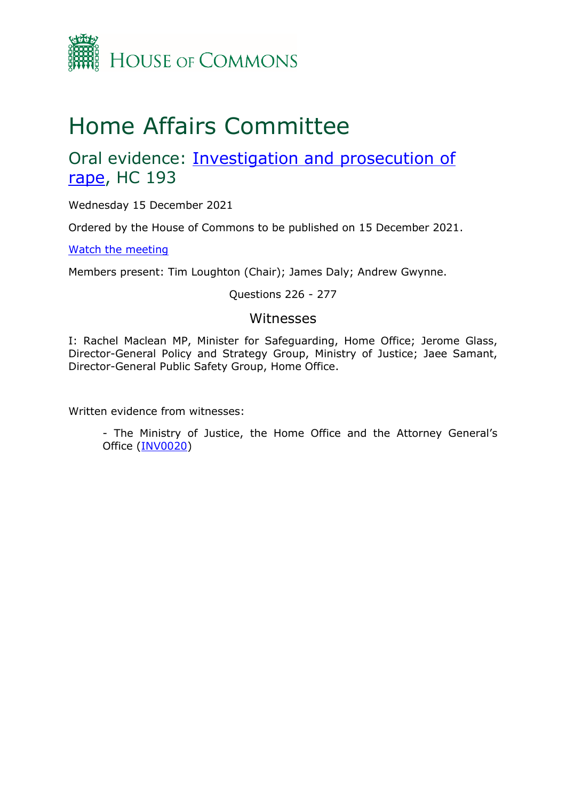

# Home Affairs Committee

Oral evidence: [Investigation and prosecution of](https://committees.parliament.uk/work/1160/investigation-and-prosecution-of-rape/)  [rape,](https://committees.parliament.uk/work/1160/investigation-and-prosecution-of-rape/) HC 193

Wednesday 15 December 2021

Ordered by the House of Commons to be published on 15 December 2021.

[Watch the meeting](https://parliamentlive.tv/event/index/af985beb-b397-48fe-b432-f1a096525ce6)

Members present: Tim Loughton (Chair); James Daly; Andrew Gwynne.

#### Questions 226 - 277

### Witnesses

I: Rachel Maclean MP, Minister for Safeguarding, Home Office; Jerome Glass, Director-General Policy and Strategy Group, Ministry of Justice; Jaee Samant, Director-General Public Safety Group, Home Office.

Written evidence from witnesses:

- The Ministry of Justice, the Home Office and the Attorney General's Office [\(INV0020\)](https://committees.parliament.uk/writtenevidence/37434/pdf/)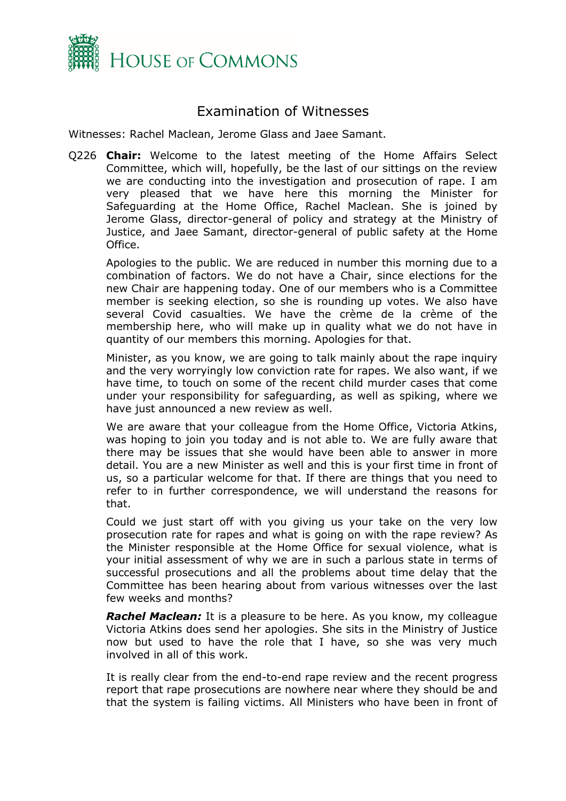

## Examination of Witnesses

Witnesses: Rachel Maclean, Jerome Glass and Jaee Samant.

Q226 **Chair:** Welcome to the latest meeting of the Home Affairs Select Committee, which will, hopefully, be the last of our sittings on the review we are conducting into the investigation and prosecution of rape. I am very pleased that we have here this morning the Minister for Safeguarding at the Home Office, Rachel Maclean. She is joined by Jerome Glass, director-general of policy and strategy at the Ministry of Justice, and Jaee Samant, director-general of public safety at the Home Office.

Apologies to the public. We are reduced in number this morning due to a combination of factors. We do not have a Chair, since elections for the new Chair are happening today. One of our members who is a Committee member is seeking election, so she is rounding up votes. We also have several Covid casualties. We have the crème de la crème of the membership here, who will make up in quality what we do not have in quantity of our members this morning. Apologies for that.

Minister, as you know, we are going to talk mainly about the rape inquiry and the very worryingly low conviction rate for rapes. We also want, if we have time, to touch on some of the recent child murder cases that come under your responsibility for safeguarding, as well as spiking, where we have just announced a new review as well.

We are aware that your colleague from the Home Office, Victoria Atkins, was hoping to join you today and is not able to. We are fully aware that there may be issues that she would have been able to answer in more detail. You are a new Minister as well and this is your first time in front of us, so a particular welcome for that. If there are things that you need to refer to in further correspondence, we will understand the reasons for that.

Could we just start off with you giving us your take on the very low prosecution rate for rapes and what is going on with the rape review? As the Minister responsible at the Home Office for sexual violence, what is your initial assessment of why we are in such a parlous state in terms of successful prosecutions and all the problems about time delay that the Committee has been hearing about from various witnesses over the last few weeks and months?

*Rachel Maclean:* It is a pleasure to be here. As you know, my colleague Victoria Atkins does send her apologies. She sits in the Ministry of Justice now but used to have the role that I have, so she was very much involved in all of this work.

It is really clear from the end-to-end rape review and the recent progress report that rape prosecutions are nowhere near where they should be and that the system is failing victims. All Ministers who have been in front of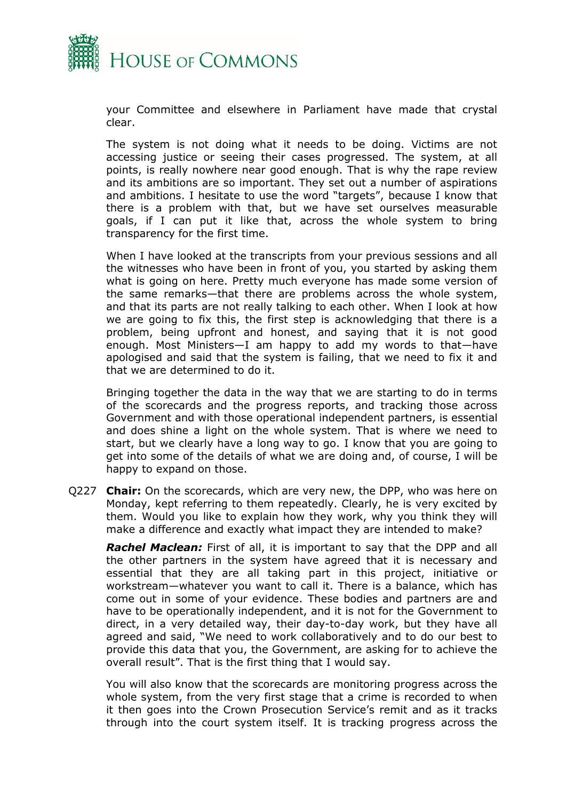

your Committee and elsewhere in Parliament have made that crystal clear.

The system is not doing what it needs to be doing. Victims are not accessing justice or seeing their cases progressed. The system, at all points, is really nowhere near good enough. That is why the rape review and its ambitions are so important. They set out a number of aspirations and ambitions. I hesitate to use the word "targets", because I know that there is a problem with that, but we have set ourselves measurable goals, if I can put it like that, across the whole system to bring transparency for the first time.

When I have looked at the transcripts from your previous sessions and all the witnesses who have been in front of you, you started by asking them what is going on here. Pretty much everyone has made some version of the same remarks—that there are problems across the whole system, and that its parts are not really talking to each other. When I look at how we are going to fix this, the first step is acknowledging that there is a problem, being upfront and honest, and saying that it is not good enough. Most Ministers—I am happy to add my words to that—have apologised and said that the system is failing, that we need to fix it and that we are determined to do it.

Bringing together the data in the way that we are starting to do in terms of the scorecards and the progress reports, and tracking those across Government and with those operational independent partners, is essential and does shine a light on the whole system. That is where we need to start, but we clearly have a long way to go. I know that you are going to get into some of the details of what we are doing and, of course, I will be happy to expand on those.

Q227 **Chair:** On the scorecards, which are very new, the DPP, who was here on Monday, kept referring to them repeatedly. Clearly, he is very excited by them. Would you like to explain how they work, why you think they will make a difference and exactly what impact they are intended to make?

*Rachel Maclean:* First of all, it is important to say that the DPP and all the other partners in the system have agreed that it is necessary and essential that they are all taking part in this project, initiative or workstream—whatever you want to call it. There is a balance, which has come out in some of your evidence. These bodies and partners are and have to be operationally independent, and it is not for the Government to direct, in a very detailed way, their day-to-day work, but they have all agreed and said, "We need to work collaboratively and to do our best to provide this data that you, the Government, are asking for to achieve the overall result". That is the first thing that I would say.

You will also know that the scorecards are monitoring progress across the whole system, from the very first stage that a crime is recorded to when it then goes into the Crown Prosecution Service's remit and as it tracks through into the court system itself. It is tracking progress across the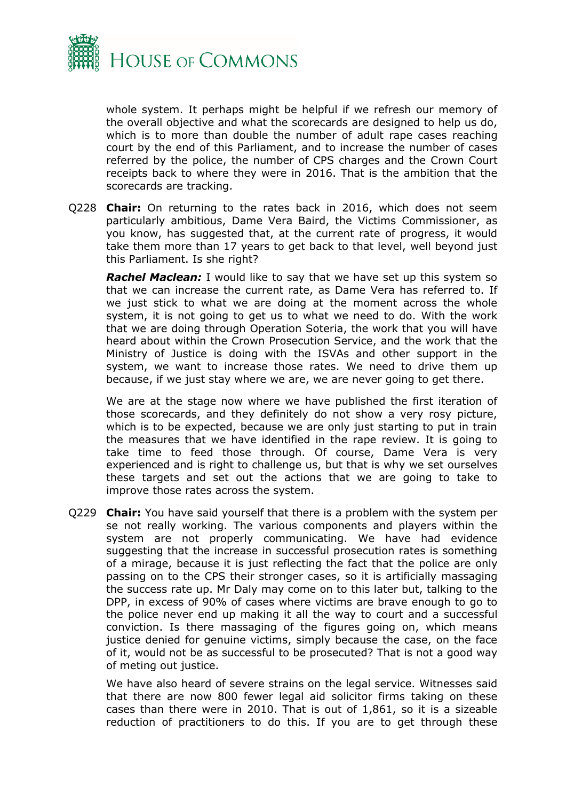

whole system. It perhaps might be helpful if we refresh our memory of the overall objective and what the scorecards are designed to help us do, which is to more than double the number of adult rape cases reaching court by the end of this Parliament, and to increase the number of cases referred by the police, the number of CPS charges and the Crown Court receipts back to where they were in 2016. That is the ambition that the scorecards are tracking.

Q228 **Chair:** On returning to the rates back in 2016, which does not seem particularly ambitious, Dame Vera Baird, the Victims Commissioner, as you know, has suggested that, at the current rate of progress, it would take them more than 17 years to get back to that level, well beyond just this Parliament. Is she right?

*Rachel Maclean:* I would like to say that we have set up this system so that we can increase the current rate, as Dame Vera has referred to. If we just stick to what we are doing at the moment across the whole system, it is not going to get us to what we need to do. With the work that we are doing through Operation Soteria, the work that you will have heard about within the Crown Prosecution Service, and the work that the Ministry of Justice is doing with the ISVAs and other support in the system, we want to increase those rates. We need to drive them up because, if we just stay where we are, we are never going to get there.

We are at the stage now where we have published the first iteration of those scorecards, and they definitely do not show a very rosy picture, which is to be expected, because we are only just starting to put in train the measures that we have identified in the rape review. It is going to take time to feed those through. Of course, Dame Vera is very experienced and is right to challenge us, but that is why we set ourselves these targets and set out the actions that we are going to take to improve those rates across the system.

Q229 **Chair:** You have said yourself that there is a problem with the system per se not really working. The various components and players within the system are not properly communicating. We have had evidence suggesting that the increase in successful prosecution rates is something of a mirage, because it is just reflecting the fact that the police are only passing on to the CPS their stronger cases, so it is artificially massaging the success rate up. Mr Daly may come on to this later but, talking to the DPP, in excess of 90% of cases where victims are brave enough to go to the police never end up making it all the way to court and a successful conviction. Is there massaging of the figures going on, which means justice denied for genuine victims, simply because the case, on the face of it, would not be as successful to be prosecuted? That is not a good way of meting out justice.

We have also heard of severe strains on the legal service. Witnesses said that there are now 800 fewer legal aid solicitor firms taking on these cases than there were in 2010. That is out of 1,861, so it is a sizeable reduction of practitioners to do this. If you are to get through these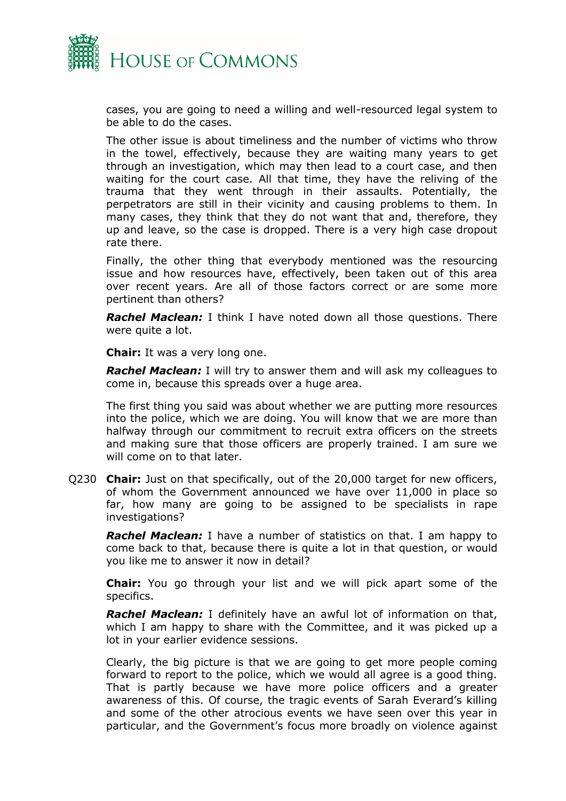

cases, you are going to need a willing and well-resourced legal system to be able to do the cases.

The other issue is about timeliness and the number of victims who throw in the towel, effectively, because they are waiting many years to get through an investigation, which may then lead to a court case, and then waiting for the court case. All that time, they have the reliving of the trauma that they went through in their assaults. Potentially, the perpetrators are still in their vicinity and causing problems to them. In many cases, they think that they do not want that and, therefore, they up and leave, so the case is dropped. There is a very high case dropout rate there.

Finally, the other thing that everybody mentioned was the resourcing issue and how resources have, effectively, been taken out of this area over recent years. Are all of those factors correct or are some more pertinent than others?

*Rachel Maclean:* I think I have noted down all those questions. There were quite a lot.

**Chair:** It was a very long one.

*Rachel Maclean:* I will try to answer them and will ask my colleagues to come in, because this spreads over a huge area.

The first thing you said was about whether we are putting more resources into the police, which we are doing. You will know that we are more than halfway through our commitment to recruit extra officers on the streets and making sure that those officers are properly trained. I am sure we will come on to that later.

Q230 **Chair:** Just on that specifically, out of the 20,000 target for new officers, of whom the Government announced we have over 11,000 in place so far, how many are going to be assigned to be specialists in rape investigations?

*Rachel Maclean:* I have a number of statistics on that. I am happy to come back to that, because there is quite a lot in that question, or would you like me to answer it now in detail?

**Chair:** You go through your list and we will pick apart some of the specifics.

*Rachel Maclean:* I definitely have an awful lot of information on that, which I am happy to share with the Committee, and it was picked up a lot in your earlier evidence sessions.

Clearly, the big picture is that we are going to get more people coming forward to report to the police, which we would all agree is a good thing. That is partly because we have more police officers and a greater awareness of this. Of course, the tragic events of Sarah Everard's killing and some of the other atrocious events we have seen over this year in particular, and the Government's focus more broadly on violence against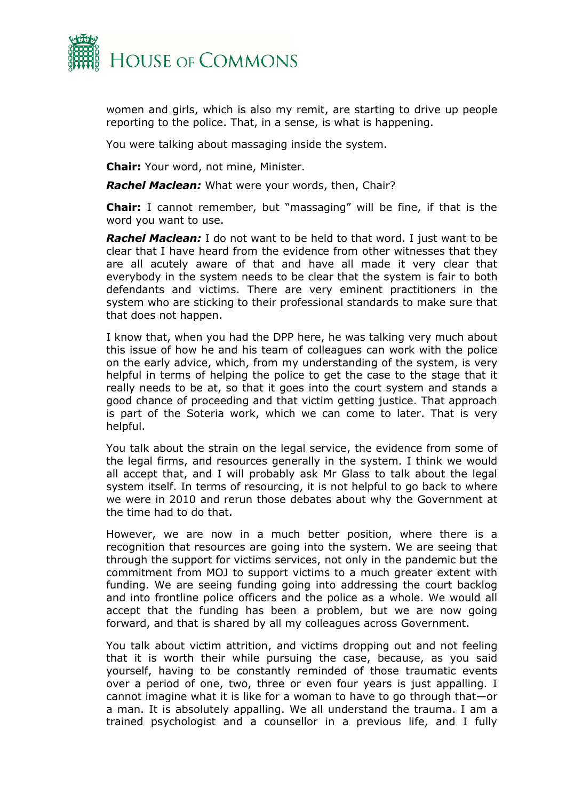

women and girls, which is also my remit, are starting to drive up people reporting to the police. That, in a sense, is what is happening.

You were talking about massaging inside the system.

**Chair:** Your word, not mine, Minister.

*Rachel Maclean:* What were your words, then, Chair?

**Chair:** I cannot remember, but "massaging" will be fine, if that is the word you want to use.

*Rachel Maclean:* I do not want to be held to that word. I just want to be clear that I have heard from the evidence from other witnesses that they are all acutely aware of that and have all made it very clear that everybody in the system needs to be clear that the system is fair to both defendants and victims. There are very eminent practitioners in the system who are sticking to their professional standards to make sure that that does not happen.

I know that, when you had the DPP here, he was talking very much about this issue of how he and his team of colleagues can work with the police on the early advice, which, from my understanding of the system, is very helpful in terms of helping the police to get the case to the stage that it really needs to be at, so that it goes into the court system and stands a good chance of proceeding and that victim getting justice. That approach is part of the Soteria work, which we can come to later. That is very helpful.

You talk about the strain on the legal service, the evidence from some of the legal firms, and resources generally in the system. I think we would all accept that, and I will probably ask Mr Glass to talk about the legal system itself. In terms of resourcing, it is not helpful to go back to where we were in 2010 and rerun those debates about why the Government at the time had to do that.

However, we are now in a much better position, where there is a recognition that resources are going into the system. We are seeing that through the support for victims services, not only in the pandemic but the commitment from MOJ to support victims to a much greater extent with funding. We are seeing funding going into addressing the court backlog and into frontline police officers and the police as a whole. We would all accept that the funding has been a problem, but we are now going forward, and that is shared by all my colleagues across Government.

You talk about victim attrition, and victims dropping out and not feeling that it is worth their while pursuing the case, because, as you said yourself, having to be constantly reminded of those traumatic events over a period of one, two, three or even four years is just appalling. I cannot imagine what it is like for a woman to have to go through that—or a man. It is absolutely appalling. We all understand the trauma. I am a trained psychologist and a counsellor in a previous life, and I fully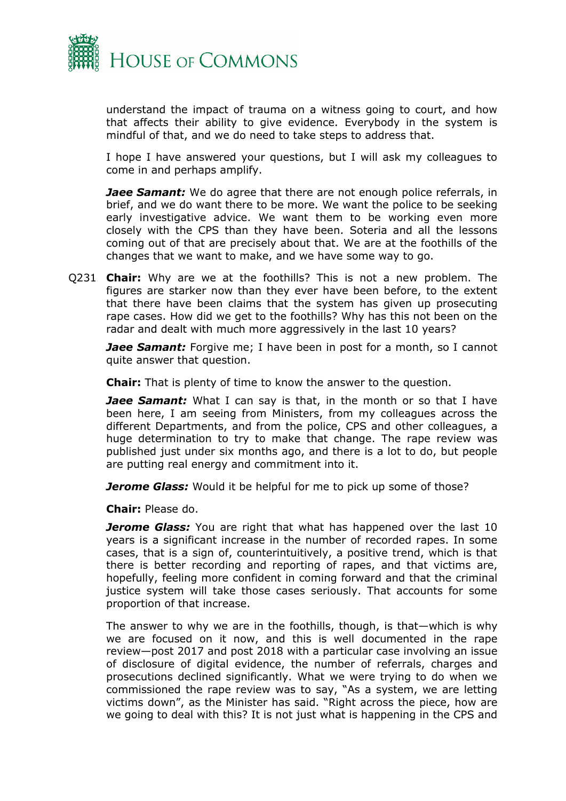

understand the impact of trauma on a witness going to court, and how that affects their ability to give evidence. Everybody in the system is mindful of that, and we do need to take steps to address that.

I hope I have answered your questions, but I will ask my colleagues to come in and perhaps amplify.

**Jaee Samant:** We do agree that there are not enough police referrals, in brief, and we do want there to be more. We want the police to be seeking early investigative advice. We want them to be working even more closely with the CPS than they have been. Soteria and all the lessons coming out of that are precisely about that. We are at the foothills of the changes that we want to make, and we have some way to go.

Q231 **Chair:** Why are we at the foothills? This is not a new problem. The figures are starker now than they ever have been before, to the extent that there have been claims that the system has given up prosecuting rape cases. How did we get to the foothills? Why has this not been on the radar and dealt with much more aggressively in the last 10 years?

*Jaee Samant:* Forgive me; I have been in post for a month, so I cannot quite answer that question.

**Chair:** That is plenty of time to know the answer to the question.

**Jaee Samant:** What I can say is that, in the month or so that I have been here, I am seeing from Ministers, from my colleagues across the different Departments, and from the police, CPS and other colleagues, a huge determination to try to make that change. The rape review was published just under six months ago, and there is a lot to do, but people are putting real energy and commitment into it.

**Jerome Glass:** Would it be helpful for me to pick up some of those?

**Chair:** Please do.

**Jerome Glass:** You are right that what has happened over the last 10 years is a significant increase in the number of recorded rapes. In some cases, that is a sign of, counterintuitively, a positive trend, which is that there is better recording and reporting of rapes, and that victims are, hopefully, feeling more confident in coming forward and that the criminal justice system will take those cases seriously. That accounts for some proportion of that increase.

The answer to why we are in the foothills, though, is that—which is why we are focused on it now, and this is well documented in the rape review—post 2017 and post 2018 with a particular case involving an issue of disclosure of digital evidence, the number of referrals, charges and prosecutions declined significantly. What we were trying to do when we commissioned the rape review was to say, "As a system, we are letting victims down", as the Minister has said. "Right across the piece, how are we going to deal with this? It is not just what is happening in the CPS and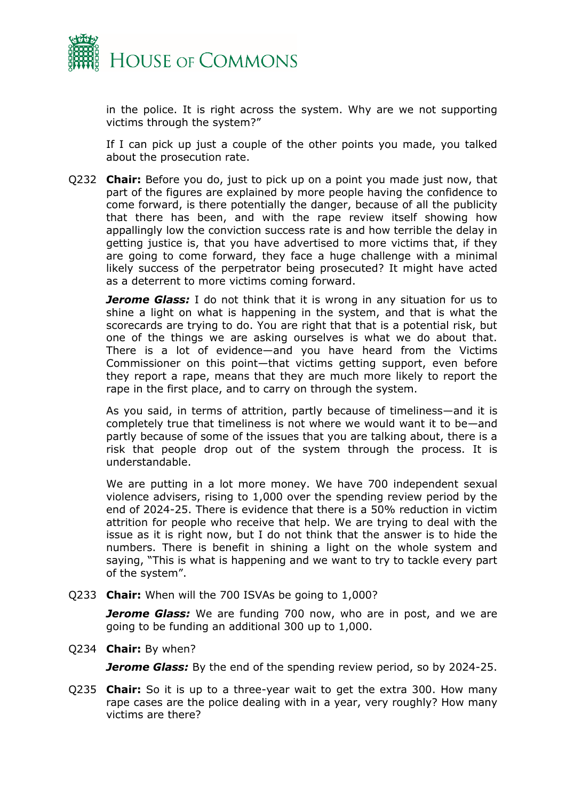

in the police. It is right across the system. Why are we not supporting victims through the system?"

If I can pick up just a couple of the other points you made, you talked about the prosecution rate.

Q232 **Chair:** Before you do, just to pick up on a point you made just now, that part of the figures are explained by more people having the confidence to come forward, is there potentially the danger, because of all the publicity that there has been, and with the rape review itself showing how appallingly low the conviction success rate is and how terrible the delay in getting justice is, that you have advertised to more victims that, if they are going to come forward, they face a huge challenge with a minimal likely success of the perpetrator being prosecuted? It might have acted as a deterrent to more victims coming forward.

*Jerome Glass:* I do not think that it is wrong in any situation for us to shine a light on what is happening in the system, and that is what the scorecards are trying to do. You are right that that is a potential risk, but one of the things we are asking ourselves is what we do about that. There is a lot of evidence—and you have heard from the Victims Commissioner on this point—that victims getting support, even before they report a rape, means that they are much more likely to report the rape in the first place, and to carry on through the system.

As you said, in terms of attrition, partly because of timeliness—and it is completely true that timeliness is not where we would want it to be—and partly because of some of the issues that you are talking about, there is a risk that people drop out of the system through the process. It is understandable.

We are putting in a lot more money. We have 700 independent sexual violence advisers, rising to 1,000 over the spending review period by the end of 2024-25. There is evidence that there is a 50% reduction in victim attrition for people who receive that help. We are trying to deal with the issue as it is right now, but I do not think that the answer is to hide the numbers. There is benefit in shining a light on the whole system and saying, "This is what is happening and we want to try to tackle every part of the system".

Q233 **Chair:** When will the 700 ISVAs be going to 1,000?

*Jerome Glass:* We are funding 700 now, who are in post, and we are going to be funding an additional 300 up to 1,000.

Q234 **Chair:** By when?

*Jerome Glass:* By the end of the spending review period, so by 2024-25.

Q235 **Chair:** So it is up to a three-year wait to get the extra 300. How many rape cases are the police dealing with in a year, very roughly? How many victims are there?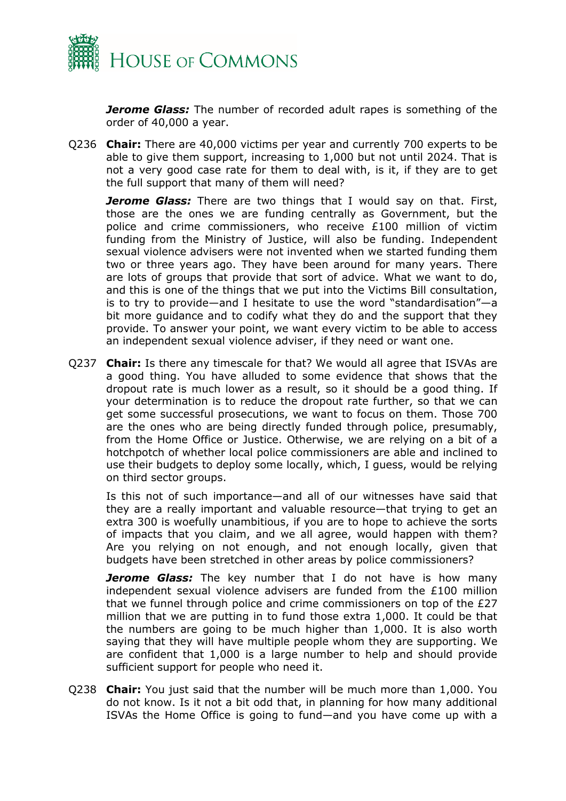

*Jerome Glass:* The number of recorded adult rapes is something of the order of 40,000 a year.

Q236 **Chair:** There are 40,000 victims per year and currently 700 experts to be able to give them support, increasing to 1,000 but not until 2024. That is not a very good case rate for them to deal with, is it, if they are to get the full support that many of them will need?

**Jerome Glass:** There are two things that I would say on that. First, those are the ones we are funding centrally as Government, but the police and crime commissioners, who receive £100 million of victim funding from the Ministry of Justice, will also be funding. Independent sexual violence advisers were not invented when we started funding them two or three years ago. They have been around for many years. There are lots of groups that provide that sort of advice. What we want to do, and this is one of the things that we put into the Victims Bill consultation, is to try to provide—and I hesitate to use the word "standardisation"—a bit more guidance and to codify what they do and the support that they provide. To answer your point, we want every victim to be able to access an independent sexual violence adviser, if they need or want one.

Q237 **Chair:** Is there any timescale for that? We would all agree that ISVAs are a good thing. You have alluded to some evidence that shows that the dropout rate is much lower as a result, so it should be a good thing. If your determination is to reduce the dropout rate further, so that we can get some successful prosecutions, we want to focus on them. Those 700 are the ones who are being directly funded through police, presumably, from the Home Office or Justice. Otherwise, we are relying on a bit of a hotchpotch of whether local police commissioners are able and inclined to use their budgets to deploy some locally, which, I guess, would be relying on third sector groups.

Is this not of such importance—and all of our witnesses have said that they are a really important and valuable resource—that trying to get an extra 300 is woefully unambitious, if you are to hope to achieve the sorts of impacts that you claim, and we all agree, would happen with them? Are you relying on not enough, and not enough locally, given that budgets have been stretched in other areas by police commissioners?

*Jerome Glass:* The key number that I do not have is how many independent sexual violence advisers are funded from the £100 million that we funnel through police and crime commissioners on top of the £27 million that we are putting in to fund those extra 1,000. It could be that the numbers are going to be much higher than 1,000. It is also worth saying that they will have multiple people whom they are supporting. We are confident that 1,000 is a large number to help and should provide sufficient support for people who need it.

Q238 **Chair:** You just said that the number will be much more than 1,000. You do not know. Is it not a bit odd that, in planning for how many additional ISVAs the Home Office is going to fund—and you have come up with a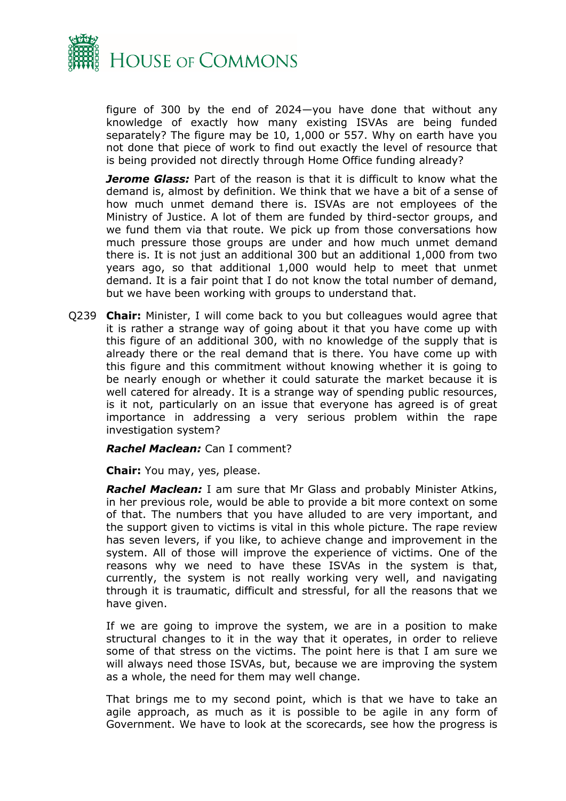

figure of 300 by the end of 2024—you have done that without any knowledge of exactly how many existing ISVAs are being funded separately? The figure may be 10, 1,000 or 557. Why on earth have you not done that piece of work to find out exactly the level of resource that is being provided not directly through Home Office funding already?

*Jerome Glass:* Part of the reason is that it is difficult to know what the demand is, almost by definition. We think that we have a bit of a sense of how much unmet demand there is. ISVAs are not employees of the Ministry of Justice. A lot of them are funded by third-sector groups, and we fund them via that route. We pick up from those conversations how much pressure those groups are under and how much unmet demand there is. It is not just an additional 300 but an additional 1,000 from two years ago, so that additional 1,000 would help to meet that unmet demand. It is a fair point that I do not know the total number of demand, but we have been working with groups to understand that.

Q239 **Chair:** Minister, I will come back to you but colleagues would agree that it is rather a strange way of going about it that you have come up with this figure of an additional 300, with no knowledge of the supply that is already there or the real demand that is there. You have come up with this figure and this commitment without knowing whether it is going to be nearly enough or whether it could saturate the market because it is well catered for already. It is a strange way of spending public resources, is it not, particularly on an issue that everyone has agreed is of great importance in addressing a very serious problem within the rape investigation system?

*Rachel Maclean:* Can I comment?

**Chair:** You may, yes, please.

*Rachel Maclean:* I am sure that Mr Glass and probably Minister Atkins, in her previous role, would be able to provide a bit more context on some of that. The numbers that you have alluded to are very important, and the support given to victims is vital in this whole picture. The rape review has seven levers, if you like, to achieve change and improvement in the system. All of those will improve the experience of victims. One of the reasons why we need to have these ISVAs in the system is that, currently, the system is not really working very well, and navigating through it is traumatic, difficult and stressful, for all the reasons that we have given.

If we are going to improve the system, we are in a position to make structural changes to it in the way that it operates, in order to relieve some of that stress on the victims. The point here is that I am sure we will always need those ISVAs, but, because we are improving the system as a whole, the need for them may well change.

That brings me to my second point, which is that we have to take an agile approach, as much as it is possible to be agile in any form of Government. We have to look at the scorecards, see how the progress is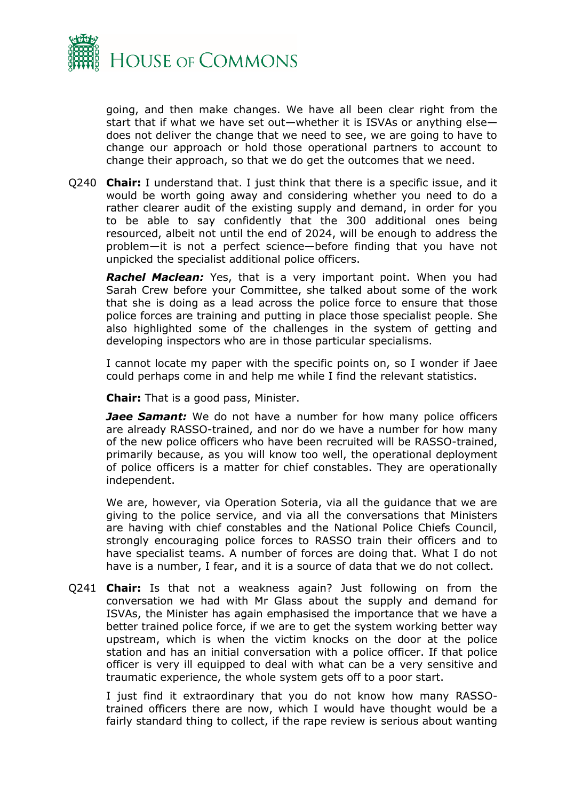

going, and then make changes. We have all been clear right from the start that if what we have set out—whether it is ISVAs or anything else does not deliver the change that we need to see, we are going to have to change our approach or hold those operational partners to account to change their approach, so that we do get the outcomes that we need.

Q240 **Chair:** I understand that. I just think that there is a specific issue, and it would be worth going away and considering whether you need to do a rather clearer audit of the existing supply and demand, in order for you to be able to say confidently that the 300 additional ones being resourced, albeit not until the end of 2024, will be enough to address the problem—it is not a perfect science—before finding that you have not unpicked the specialist additional police officers.

**Rachel Maclean:** Yes, that is a very important point. When you had Sarah Crew before your Committee, she talked about some of the work that she is doing as a lead across the police force to ensure that those police forces are training and putting in place those specialist people. She also highlighted some of the challenges in the system of getting and developing inspectors who are in those particular specialisms.

I cannot locate my paper with the specific points on, so I wonder if Jaee could perhaps come in and help me while I find the relevant statistics.

**Chair:** That is a good pass, Minister.

*Jaee Samant:* We do not have a number for how many police officers are already RASSO-trained, and nor do we have a number for how many of the new police officers who have been recruited will be RASSO-trained, primarily because, as you will know too well, the operational deployment of police officers is a matter for chief constables. They are operationally independent.

We are, however, via Operation Soteria, via all the guidance that we are giving to the police service, and via all the conversations that Ministers are having with chief constables and the National Police Chiefs Council, strongly encouraging police forces to RASSO train their officers and to have specialist teams. A number of forces are doing that. What I do not have is a number, I fear, and it is a source of data that we do not collect.

Q241 **Chair:** Is that not a weakness again? Just following on from the conversation we had with Mr Glass about the supply and demand for ISVAs, the Minister has again emphasised the importance that we have a better trained police force, if we are to get the system working better way upstream, which is when the victim knocks on the door at the police station and has an initial conversation with a police officer. If that police officer is very ill equipped to deal with what can be a very sensitive and traumatic experience, the whole system gets off to a poor start.

I just find it extraordinary that you do not know how many RASSOtrained officers there are now, which I would have thought would be a fairly standard thing to collect, if the rape review is serious about wanting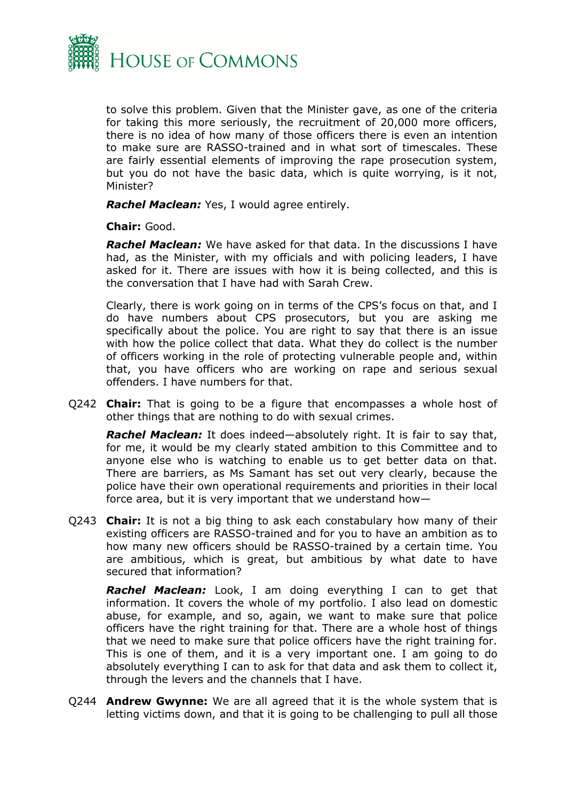

to solve this problem. Given that the Minister gave, as one of the criteria for taking this more seriously, the recruitment of 20,000 more officers, there is no idea of how many of those officers there is even an intention to make sure are RASSO-trained and in what sort of timescales. These are fairly essential elements of improving the rape prosecution system, but you do not have the basic data, which is quite worrying, is it not, Minister?

*Rachel Maclean:* Yes, I would agree entirely.

**Chair:** Good.

*Rachel Maclean:* We have asked for that data. In the discussions I have had, as the Minister, with my officials and with policing leaders, I have asked for it. There are issues with how it is being collected, and this is the conversation that I have had with Sarah Crew.

Clearly, there is work going on in terms of the CPS's focus on that, and I do have numbers about CPS prosecutors, but you are asking me specifically about the police. You are right to say that there is an issue with how the police collect that data. What they do collect is the number of officers working in the role of protecting vulnerable people and, within that, you have officers who are working on rape and serious sexual offenders. I have numbers for that.

Q242 **Chair:** That is going to be a figure that encompasses a whole host of other things that are nothing to do with sexual crimes.

*Rachel Maclean:* It does indeed—absolutely right. It is fair to say that, for me, it would be my clearly stated ambition to this Committee and to anyone else who is watching to enable us to get better data on that. There are barriers, as Ms Samant has set out very clearly, because the police have their own operational requirements and priorities in their local force area, but it is very important that we understand how—

Q243 **Chair:** It is not a big thing to ask each constabulary how many of their existing officers are RASSO-trained and for you to have an ambition as to how many new officers should be RASSO-trained by a certain time. You are ambitious, which is great, but ambitious by what date to have secured that information?

*Rachel Maclean:* Look, I am doing everything I can to get that information. It covers the whole of my portfolio. I also lead on domestic abuse, for example, and so, again, we want to make sure that police officers have the right training for that. There are a whole host of things that we need to make sure that police officers have the right training for. This is one of them, and it is a very important one. I am going to do absolutely everything I can to ask for that data and ask them to collect it, through the levers and the channels that I have.

Q244 **Andrew Gwynne:** We are all agreed that it is the whole system that is letting victims down, and that it is going to be challenging to pull all those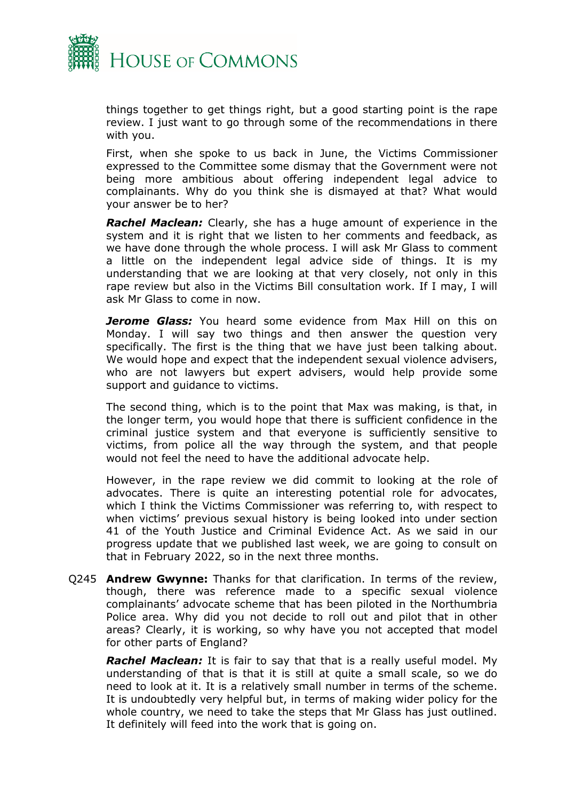

things together to get things right, but a good starting point is the rape review. I just want to go through some of the recommendations in there with you.

First, when she spoke to us back in June, the Victims Commissioner expressed to the Committee some dismay that the Government were not being more ambitious about offering independent legal advice to complainants. Why do you think she is dismayed at that? What would your answer be to her?

**Rachel Maclean:** Clearly, she has a huge amount of experience in the system and it is right that we listen to her comments and feedback, as we have done through the whole process. I will ask Mr Glass to comment a little on the independent legal advice side of things. It is my understanding that we are looking at that very closely, not only in this rape review but also in the Victims Bill consultation work. If I may, I will ask Mr Glass to come in now.

**Jerome Glass:** You heard some evidence from Max Hill on this on Monday. I will say two things and then answer the question very specifically. The first is the thing that we have just been talking about. We would hope and expect that the independent sexual violence advisers, who are not lawyers but expert advisers, would help provide some support and guidance to victims.

The second thing, which is to the point that Max was making, is that, in the longer term, you would hope that there is sufficient confidence in the criminal justice system and that everyone is sufficiently sensitive to victims, from police all the way through the system, and that people would not feel the need to have the additional advocate help.

However, in the rape review we did commit to looking at the role of advocates. There is quite an interesting potential role for advocates, which I think the Victims Commissioner was referring to, with respect to when victims' previous sexual history is being looked into under section 41 of the Youth Justice and Criminal Evidence Act. As we said in our progress update that we published last week, we are going to consult on that in February 2022, so in the next three months.

Q245 **Andrew Gwynne:** Thanks for that clarification. In terms of the review, though, there was reference made to a specific sexual violence complainants' advocate scheme that has been piloted in the Northumbria Police area. Why did you not decide to roll out and pilot that in other areas? Clearly, it is working, so why have you not accepted that model for other parts of England?

*Rachel Maclean:* It is fair to say that that is a really useful model. My understanding of that is that it is still at quite a small scale, so we do need to look at it. It is a relatively small number in terms of the scheme. It is undoubtedly very helpful but, in terms of making wider policy for the whole country, we need to take the steps that Mr Glass has just outlined. It definitely will feed into the work that is going on.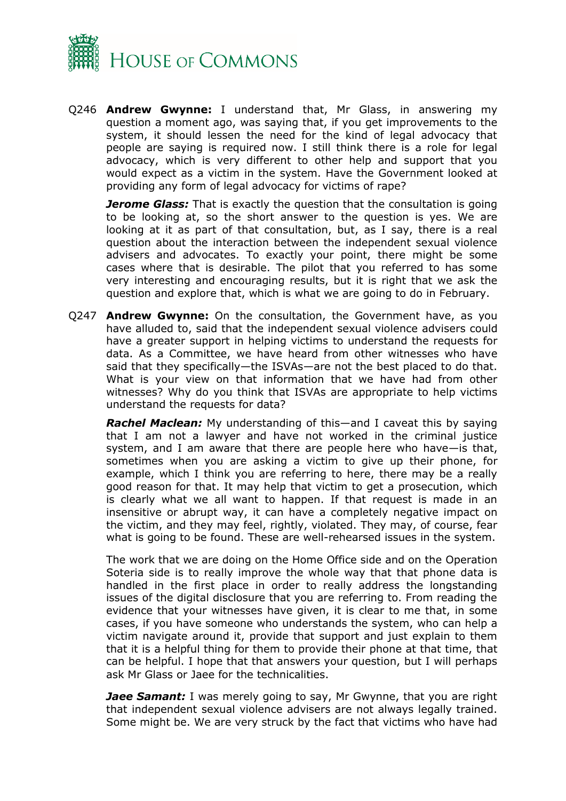

Q246 **Andrew Gwynne:** I understand that, Mr Glass, in answering my question a moment ago, was saying that, if you get improvements to the system, it should lessen the need for the kind of legal advocacy that people are saying is required now. I still think there is a role for legal advocacy, which is very different to other help and support that you would expect as a victim in the system. Have the Government looked at providing any form of legal advocacy for victims of rape?

*Jerome Glass:* That is exactly the question that the consultation is going to be looking at, so the short answer to the question is yes. We are looking at it as part of that consultation, but, as I say, there is a real question about the interaction between the independent sexual violence advisers and advocates. To exactly your point, there might be some cases where that is desirable. The pilot that you referred to has some very interesting and encouraging results, but it is right that we ask the question and explore that, which is what we are going to do in February.

Q247 **Andrew Gwynne:** On the consultation, the Government have, as you have alluded to, said that the independent sexual violence advisers could have a greater support in helping victims to understand the requests for data. As a Committee, we have heard from other witnesses who have said that they specifically—the ISVAs—are not the best placed to do that. What is your view on that information that we have had from other witnesses? Why do you think that ISVAs are appropriate to help victims understand the requests for data?

*Rachel Maclean:* My understanding of this—and I caveat this by saying that I am not a lawyer and have not worked in the criminal justice system, and I am aware that there are people here who have—is that, sometimes when you are asking a victim to give up their phone, for example, which I think you are referring to here, there may be a really good reason for that. It may help that victim to get a prosecution, which is clearly what we all want to happen. If that request is made in an insensitive or abrupt way, it can have a completely negative impact on the victim, and they may feel, rightly, violated. They may, of course, fear what is going to be found. These are well-rehearsed issues in the system.

The work that we are doing on the Home Office side and on the Operation Soteria side is to really improve the whole way that that phone data is handled in the first place in order to really address the longstanding issues of the digital disclosure that you are referring to. From reading the evidence that your witnesses have given, it is clear to me that, in some cases, if you have someone who understands the system, who can help a victim navigate around it, provide that support and just explain to them that it is a helpful thing for them to provide their phone at that time, that can be helpful. I hope that that answers your question, but I will perhaps ask Mr Glass or Jaee for the technicalities.

**Jaee Samant:** I was merely going to say, Mr Gwynne, that you are right that independent sexual violence advisers are not always legally trained. Some might be. We are very struck by the fact that victims who have had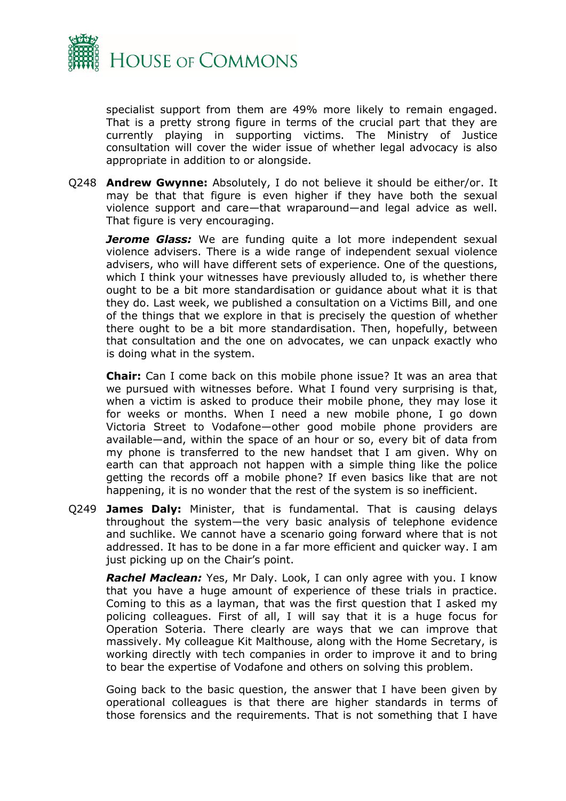

specialist support from them are 49% more likely to remain engaged. That is a pretty strong figure in terms of the crucial part that they are currently playing in supporting victims. The Ministry of Justice consultation will cover the wider issue of whether legal advocacy is also appropriate in addition to or alongside.

Q248 **Andrew Gwynne:** Absolutely, I do not believe it should be either/or. It may be that that figure is even higher if they have both the sexual violence support and care—that wraparound—and legal advice as well. That figure is very encouraging.

**Jerome Glass:** We are funding quite a lot more independent sexual violence advisers. There is a wide range of independent sexual violence advisers, who will have different sets of experience. One of the questions, which I think your witnesses have previously alluded to, is whether there ought to be a bit more standardisation or guidance about what it is that they do. Last week, we published a consultation on a Victims Bill, and one of the things that we explore in that is precisely the question of whether there ought to be a bit more standardisation. Then, hopefully, between that consultation and the one on advocates, we can unpack exactly who is doing what in the system.

**Chair:** Can I come back on this mobile phone issue? It was an area that we pursued with witnesses before. What I found very surprising is that, when a victim is asked to produce their mobile phone, they may lose it for weeks or months. When I need a new mobile phone, I go down Victoria Street to Vodafone—other good mobile phone providers are available—and, within the space of an hour or so, every bit of data from my phone is transferred to the new handset that I am given. Why on earth can that approach not happen with a simple thing like the police getting the records off a mobile phone? If even basics like that are not happening, it is no wonder that the rest of the system is so inefficient.

Q249 **James Daly:** Minister, that is fundamental. That is causing delays throughout the system—the very basic analysis of telephone evidence and suchlike. We cannot have a scenario going forward where that is not addressed. It has to be done in a far more efficient and quicker way. I am just picking up on the Chair's point.

*Rachel Maclean:* Yes, Mr Daly. Look, I can only agree with you. I know that you have a huge amount of experience of these trials in practice. Coming to this as a layman, that was the first question that I asked my policing colleagues. First of all, I will say that it is a huge focus for Operation Soteria. There clearly are ways that we can improve that massively. My colleague Kit Malthouse, along with the Home Secretary, is working directly with tech companies in order to improve it and to bring to bear the expertise of Vodafone and others on solving this problem.

Going back to the basic question, the answer that I have been given by operational colleagues is that there are higher standards in terms of those forensics and the requirements. That is not something that I have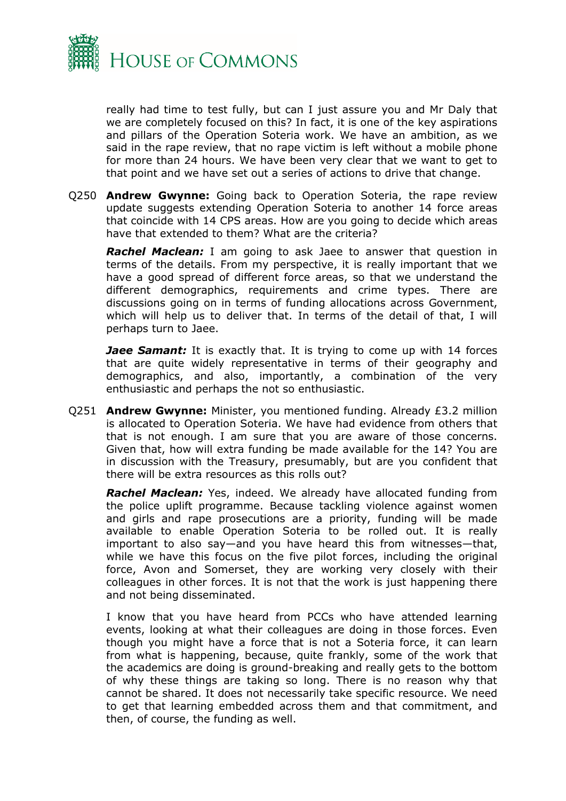

really had time to test fully, but can I just assure you and Mr Daly that we are completely focused on this? In fact, it is one of the key aspirations and pillars of the Operation Soteria work. We have an ambition, as we said in the rape review, that no rape victim is left without a mobile phone for more than 24 hours. We have been very clear that we want to get to that point and we have set out a series of actions to drive that change.

Q250 **Andrew Gwynne:** Going back to Operation Soteria, the rape review update suggests extending Operation Soteria to another 14 force areas that coincide with 14 CPS areas. How are you going to decide which areas have that extended to them? What are the criteria?

**Rachel Maclean:** I am going to ask Jaee to answer that question in terms of the details. From my perspective, it is really important that we have a good spread of different force areas, so that we understand the different demographics, requirements and crime types. There are discussions going on in terms of funding allocations across Government, which will help us to deliver that. In terms of the detail of that, I will perhaps turn to Jaee.

**Jaee Samant:** It is exactly that. It is trying to come up with 14 forces that are quite widely representative in terms of their geography and demographics, and also, importantly, a combination of the very enthusiastic and perhaps the not so enthusiastic.

Q251 **Andrew Gwynne:** Minister, you mentioned funding. Already £3.2 million is allocated to Operation Soteria. We have had evidence from others that that is not enough. I am sure that you are aware of those concerns. Given that, how will extra funding be made available for the 14? You are in discussion with the Treasury, presumably, but are you confident that there will be extra resources as this rolls out?

*Rachel Maclean:* Yes, indeed. We already have allocated funding from the police uplift programme. Because tackling violence against women and girls and rape prosecutions are a priority, funding will be made available to enable Operation Soteria to be rolled out. It is really important to also say—and you have heard this from witnesses—that, while we have this focus on the five pilot forces, including the original force, Avon and Somerset, they are working very closely with their colleagues in other forces. It is not that the work is just happening there and not being disseminated.

I know that you have heard from PCCs who have attended learning events, looking at what their colleagues are doing in those forces. Even though you might have a force that is not a Soteria force, it can learn from what is happening, because, quite frankly, some of the work that the academics are doing is ground-breaking and really gets to the bottom of why these things are taking so long. There is no reason why that cannot be shared. It does not necessarily take specific resource. We need to get that learning embedded across them and that commitment, and then, of course, the funding as well.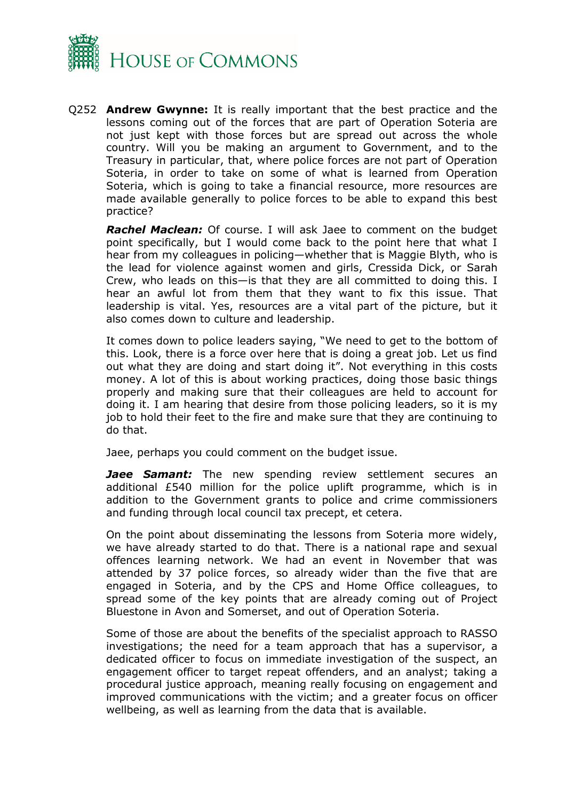

Q252 **Andrew Gwynne:** It is really important that the best practice and the lessons coming out of the forces that are part of Operation Soteria are not just kept with those forces but are spread out across the whole country. Will you be making an argument to Government, and to the Treasury in particular, that, where police forces are not part of Operation Soteria, in order to take on some of what is learned from Operation Soteria, which is going to take a financial resource, more resources are made available generally to police forces to be able to expand this best practice?

*Rachel Maclean:* Of course. I will ask Jaee to comment on the budget point specifically, but I would come back to the point here that what I hear from my colleagues in policing—whether that is Maggie Blyth, who is the lead for violence against women and girls, Cressida Dick, or Sarah Crew, who leads on this—is that they are all committed to doing this. I hear an awful lot from them that they want to fix this issue. That leadership is vital. Yes, resources are a vital part of the picture, but it also comes down to culture and leadership.

It comes down to police leaders saying, "We need to get to the bottom of this. Look, there is a force over here that is doing a great job. Let us find out what they are doing and start doing it". Not everything in this costs money. A lot of this is about working practices, doing those basic things properly and making sure that their colleagues are held to account for doing it. I am hearing that desire from those policing leaders, so it is my job to hold their feet to the fire and make sure that they are continuing to do that.

Jaee, perhaps you could comment on the budget issue.

Jaee Samant: The new spending review settlement secures an additional £540 million for the police uplift programme, which is in addition to the Government grants to police and crime commissioners and funding through local council tax precept, et cetera.

On the point about disseminating the lessons from Soteria more widely, we have already started to do that. There is a national rape and sexual offences learning network. We had an event in November that was attended by 37 police forces, so already wider than the five that are engaged in Soteria, and by the CPS and Home Office colleagues, to spread some of the key points that are already coming out of Project Bluestone in Avon and Somerset, and out of Operation Soteria.

Some of those are about the benefits of the specialist approach to RASSO investigations; the need for a team approach that has a supervisor, a dedicated officer to focus on immediate investigation of the suspect, an engagement officer to target repeat offenders, and an analyst; taking a procedural justice approach, meaning really focusing on engagement and improved communications with the victim; and a greater focus on officer wellbeing, as well as learning from the data that is available.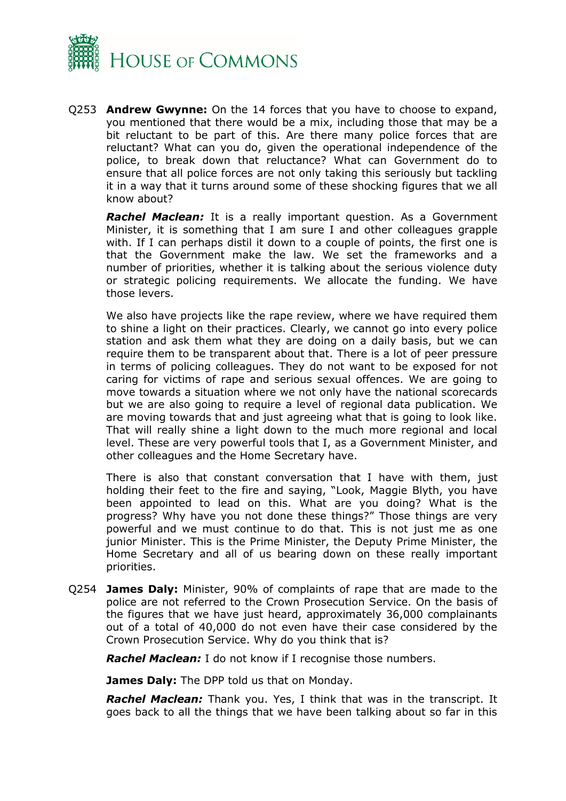

Q253 **Andrew Gwynne:** On the 14 forces that you have to choose to expand, you mentioned that there would be a mix, including those that may be a bit reluctant to be part of this. Are there many police forces that are reluctant? What can you do, given the operational independence of the police, to break down that reluctance? What can Government do to ensure that all police forces are not only taking this seriously but tackling it in a way that it turns around some of these shocking figures that we all know about?

*Rachel Maclean:* It is a really important question. As a Government Minister, it is something that I am sure I and other colleagues grapple with. If I can perhaps distil it down to a couple of points, the first one is that the Government make the law. We set the frameworks and a number of priorities, whether it is talking about the serious violence duty or strategic policing requirements. We allocate the funding. We have those levers.

We also have projects like the rape review, where we have required them to shine a light on their practices. Clearly, we cannot go into every police station and ask them what they are doing on a daily basis, but we can require them to be transparent about that. There is a lot of peer pressure in terms of policing colleagues. They do not want to be exposed for not caring for victims of rape and serious sexual offences. We are going to move towards a situation where we not only have the national scorecards but we are also going to require a level of regional data publication. We are moving towards that and just agreeing what that is going to look like. That will really shine a light down to the much more regional and local level. These are very powerful tools that I, as a Government Minister, and other colleagues and the Home Secretary have.

There is also that constant conversation that I have with them, just holding their feet to the fire and saying, "Look, Maggie Blyth, you have been appointed to lead on this. What are you doing? What is the progress? Why have you not done these things?" Those things are very powerful and we must continue to do that. This is not just me as one junior Minister. This is the Prime Minister, the Deputy Prime Minister, the Home Secretary and all of us bearing down on these really important priorities.

Q254 **James Daly:** Minister, 90% of complaints of rape that are made to the police are not referred to the Crown Prosecution Service. On the basis of the figures that we have just heard, approximately 36,000 complainants out of a total of 40,000 do not even have their case considered by the Crown Prosecution Service. Why do you think that is?

*Rachel Maclean:* I do not know if I recognise those numbers.

**James Daly:** The DPP told us that on Monday.

*Rachel Maclean:* Thank you. Yes, I think that was in the transcript. It goes back to all the things that we have been talking about so far in this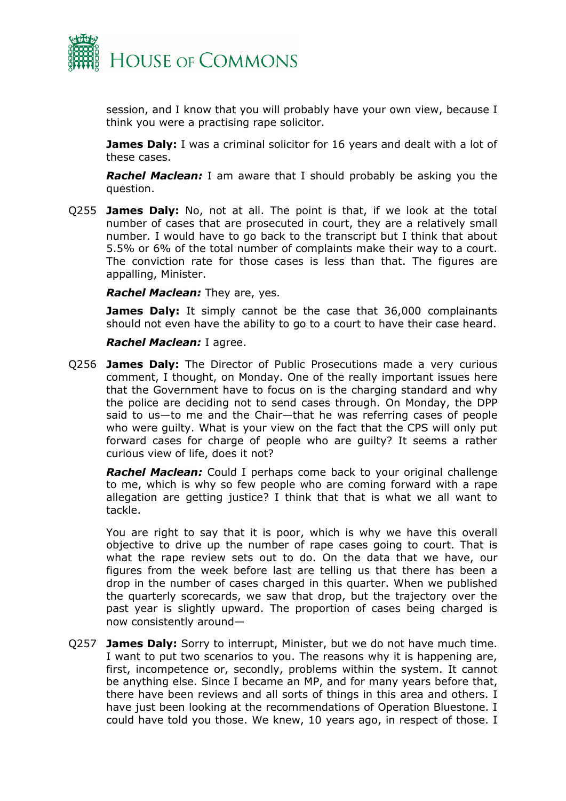

session, and I know that you will probably have your own view, because I think you were a practising rape solicitor.

**James Daly:** I was a criminal solicitor for 16 years and dealt with a lot of these cases.

*Rachel Maclean:* I am aware that I should probably be asking you the question.

Q255 **James Daly:** No, not at all. The point is that, if we look at the total number of cases that are prosecuted in court, they are a relatively small number. I would have to go back to the transcript but I think that about 5.5% or 6% of the total number of complaints make their way to a court. The conviction rate for those cases is less than that. The figures are appalling, Minister.

#### *Rachel Maclean:* They are, yes.

**James Daly:** It simply cannot be the case that 36,000 complainants should not even have the ability to go to a court to have their case heard.

#### *Rachel Maclean:* I agree.

Q256 **James Daly:** The Director of Public Prosecutions made a very curious comment, I thought, on Monday. One of the really important issues here that the Government have to focus on is the charging standard and why the police are deciding not to send cases through. On Monday, the DPP said to us—to me and the Chair—that he was referring cases of people who were guilty. What is your view on the fact that the CPS will only put forward cases for charge of people who are guilty? It seems a rather curious view of life, does it not?

*Rachel Maclean:* Could I perhaps come back to your original challenge to me, which is why so few people who are coming forward with a rape allegation are getting justice? I think that that is what we all want to tackle.

You are right to say that it is poor, which is why we have this overall objective to drive up the number of rape cases going to court. That is what the rape review sets out to do. On the data that we have, our figures from the week before last are telling us that there has been a drop in the number of cases charged in this quarter. When we published the quarterly scorecards, we saw that drop, but the trajectory over the past year is slightly upward. The proportion of cases being charged is now consistently around—

Q257 **James Daly:** Sorry to interrupt, Minister, but we do not have much time. I want to put two scenarios to you. The reasons why it is happening are, first, incompetence or, secondly, problems within the system. It cannot be anything else. Since I became an MP, and for many years before that, there have been reviews and all sorts of things in this area and others. I have just been looking at the recommendations of Operation Bluestone. I could have told you those. We knew, 10 years ago, in respect of those. I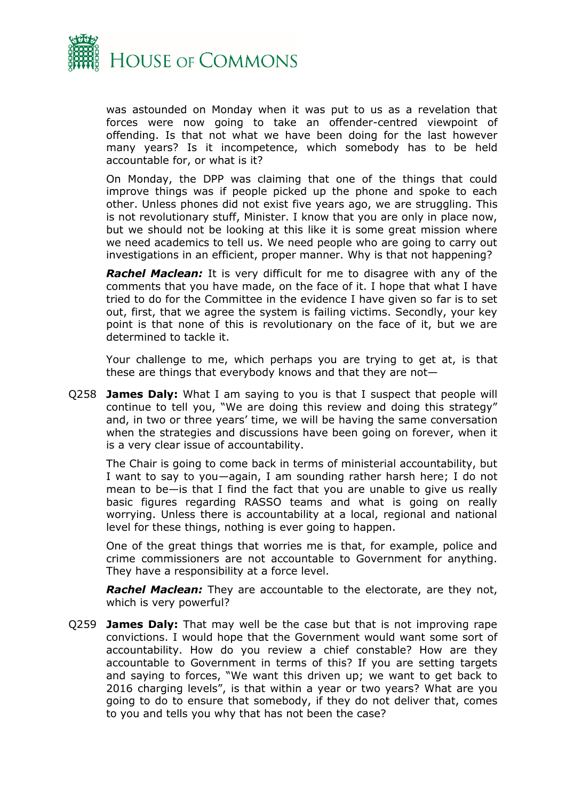

was astounded on Monday when it was put to us as a revelation that forces were now going to take an offender-centred viewpoint of offending. Is that not what we have been doing for the last however many years? Is it incompetence, which somebody has to be held accountable for, or what is it?

On Monday, the DPP was claiming that one of the things that could improve things was if people picked up the phone and spoke to each other. Unless phones did not exist five years ago, we are struggling. This is not revolutionary stuff, Minister. I know that you are only in place now, but we should not be looking at this like it is some great mission where we need academics to tell us. We need people who are going to carry out investigations in an efficient, proper manner. Why is that not happening?

*Rachel Maclean:* It is very difficult for me to disagree with any of the comments that you have made, on the face of it. I hope that what I have tried to do for the Committee in the evidence I have given so far is to set out, first, that we agree the system is failing victims. Secondly, your key point is that none of this is revolutionary on the face of it, but we are determined to tackle it.

Your challenge to me, which perhaps you are trying to get at, is that these are things that everybody knows and that they are not—

Q258 **James Daly:** What I am saying to you is that I suspect that people will continue to tell you, "We are doing this review and doing this strategy" and, in two or three years' time, we will be having the same conversation when the strategies and discussions have been going on forever, when it is a very clear issue of accountability.

The Chair is going to come back in terms of ministerial accountability, but I want to say to you—again, I am sounding rather harsh here; I do not mean to be—is that I find the fact that you are unable to give us really basic figures regarding RASSO teams and what is going on really worrying. Unless there is accountability at a local, regional and national level for these things, nothing is ever going to happen.

One of the great things that worries me is that, for example, police and crime commissioners are not accountable to Government for anything. They have a responsibility at a force level.

*Rachel Maclean:* They are accountable to the electorate, are they not, which is very powerful?

Q259 **James Daly:** That may well be the case but that is not improving rape convictions. I would hope that the Government would want some sort of accountability. How do you review a chief constable? How are they accountable to Government in terms of this? If you are setting targets and saying to forces, "We want this driven up; we want to get back to 2016 charging levels", is that within a year or two years? What are you going to do to ensure that somebody, if they do not deliver that, comes to you and tells you why that has not been the case?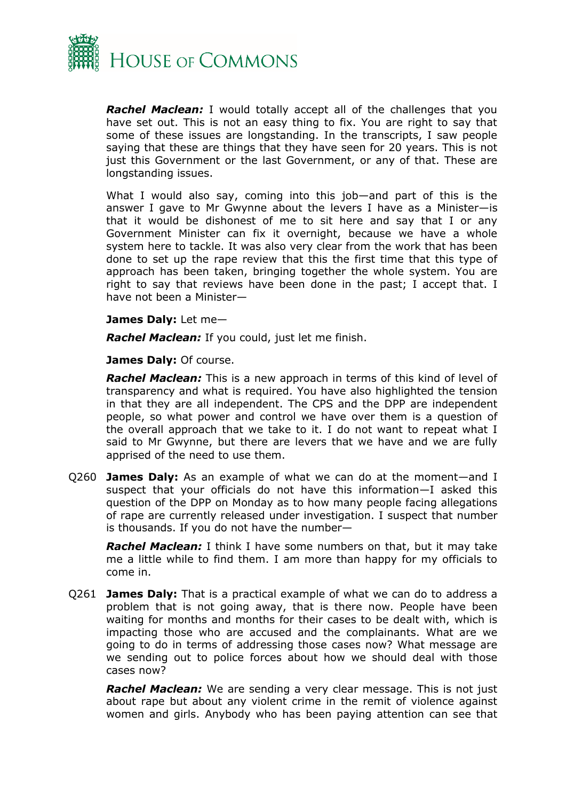

*Rachel Maclean:* I would totally accept all of the challenges that you have set out. This is not an easy thing to fix. You are right to say that some of these issues are longstanding. In the transcripts, I saw people saying that these are things that they have seen for 20 years. This is not just this Government or the last Government, or any of that. These are longstanding issues.

What I would also say, coming into this job—and part of this is the answer I gave to Mr Gwynne about the levers I have as a Minister—is that it would be dishonest of me to sit here and say that I or any Government Minister can fix it overnight, because we have a whole system here to tackle. It was also very clear from the work that has been done to set up the rape review that this the first time that this type of approach has been taken, bringing together the whole system. You are right to say that reviews have been done in the past; I accept that. I have not been a Minister—

#### **James Daly:** Let me—

*Rachel Maclean:* If you could, just let me finish.

**James Daly:** Of course.

*Rachel Maclean:* This is a new approach in terms of this kind of level of transparency and what is required. You have also highlighted the tension in that they are all independent. The CPS and the DPP are independent people, so what power and control we have over them is a question of the overall approach that we take to it. I do not want to repeat what I said to Mr Gwynne, but there are levers that we have and we are fully apprised of the need to use them.

Q260 **James Daly:** As an example of what we can do at the moment—and I suspect that your officials do not have this information—I asked this question of the DPP on Monday as to how many people facing allegations of rape are currently released under investigation. I suspect that number is thousands. If you do not have the number—

*Rachel Maclean:* I think I have some numbers on that, but it may take me a little while to find them. I am more than happy for my officials to come in.

Q261 **James Daly:** That is a practical example of what we can do to address a problem that is not going away, that is there now. People have been waiting for months and months for their cases to be dealt with, which is impacting those who are accused and the complainants. What are we going to do in terms of addressing those cases now? What message are we sending out to police forces about how we should deal with those cases now?

*Rachel Maclean:* We are sending a very clear message. This is not just about rape but about any violent crime in the remit of violence against women and girls. Anybody who has been paying attention can see that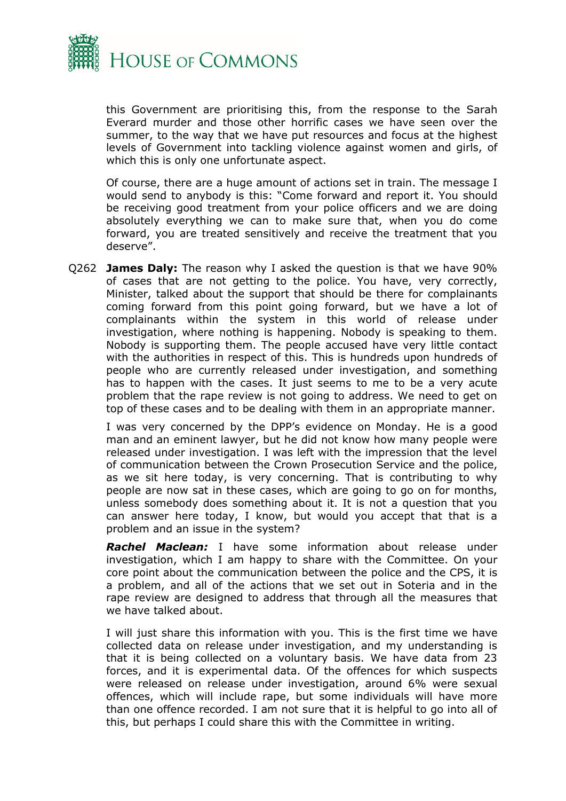

this Government are prioritising this, from the response to the Sarah Everard murder and those other horrific cases we have seen over the summer, to the way that we have put resources and focus at the highest levels of Government into tackling violence against women and girls, of which this is only one unfortunate aspect.

Of course, there are a huge amount of actions set in train. The message I would send to anybody is this: "Come forward and report it. You should be receiving good treatment from your police officers and we are doing absolutely everything we can to make sure that, when you do come forward, you are treated sensitively and receive the treatment that you deserve".

Q262 **James Daly:** The reason why I asked the question is that we have 90% of cases that are not getting to the police. You have, very correctly, Minister, talked about the support that should be there for complainants coming forward from this point going forward, but we have a lot of complainants within the system in this world of release under investigation, where nothing is happening. Nobody is speaking to them. Nobody is supporting them. The people accused have very little contact with the authorities in respect of this. This is hundreds upon hundreds of people who are currently released under investigation, and something has to happen with the cases. It just seems to me to be a very acute problem that the rape review is not going to address. We need to get on top of these cases and to be dealing with them in an appropriate manner.

I was very concerned by the DPP's evidence on Monday. He is a good man and an eminent lawyer, but he did not know how many people were released under investigation. I was left with the impression that the level of communication between the Crown Prosecution Service and the police, as we sit here today, is very concerning. That is contributing to why people are now sat in these cases, which are going to go on for months, unless somebody does something about it. It is not a question that you can answer here today, I know, but would you accept that that is a problem and an issue in the system?

*Rachel Maclean:* I have some information about release under investigation, which I am happy to share with the Committee. On your core point about the communication between the police and the CPS, it is a problem, and all of the actions that we set out in Soteria and in the rape review are designed to address that through all the measures that we have talked about.

I will just share this information with you. This is the first time we have collected data on release under investigation, and my understanding is that it is being collected on a voluntary basis. We have data from 23 forces, and it is experimental data. Of the offences for which suspects were released on release under investigation, around 6% were sexual offences, which will include rape, but some individuals will have more than one offence recorded. I am not sure that it is helpful to go into all of this, but perhaps I could share this with the Committee in writing.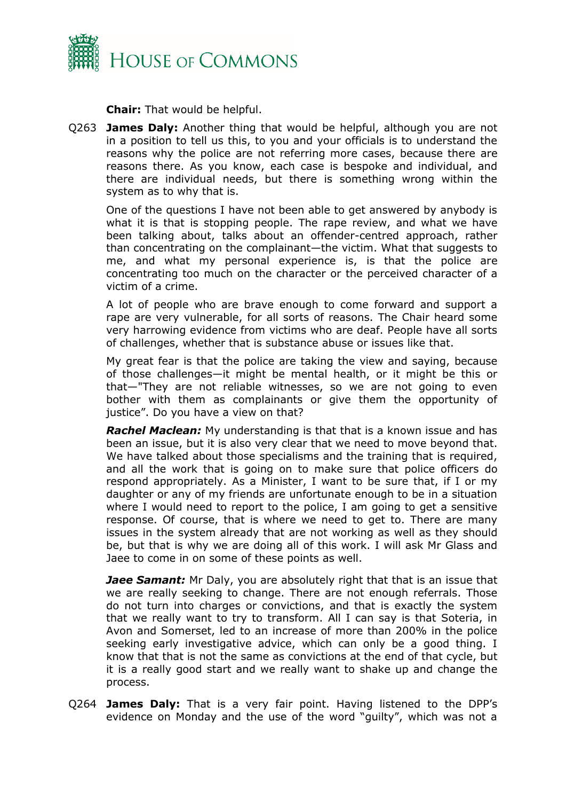

**Chair:** That would be helpful.

Q263 **James Daly:** Another thing that would be helpful, although you are not in a position to tell us this, to you and your officials is to understand the reasons why the police are not referring more cases, because there are reasons there. As you know, each case is bespoke and individual, and there are individual needs, but there is something wrong within the system as to why that is.

One of the questions I have not been able to get answered by anybody is what it is that is stopping people. The rape review, and what we have been talking about, talks about an offender-centred approach, rather than concentrating on the complainant—the victim. What that suggests to me, and what my personal experience is, is that the police are concentrating too much on the character or the perceived character of a victim of a crime.

A lot of people who are brave enough to come forward and support a rape are very vulnerable, for all sorts of reasons. The Chair heard some very harrowing evidence from victims who are deaf. People have all sorts of challenges, whether that is substance abuse or issues like that.

My great fear is that the police are taking the view and saying, because of those challenges—it might be mental health, or it might be this or that—"They are not reliable witnesses, so we are not going to even bother with them as complainants or give them the opportunity of justice". Do you have a view on that?

*Rachel Maclean:* My understanding is that that is a known issue and has been an issue, but it is also very clear that we need to move beyond that. We have talked about those specialisms and the training that is required, and all the work that is going on to make sure that police officers do respond appropriately. As a Minister, I want to be sure that, if I or my daughter or any of my friends are unfortunate enough to be in a situation where I would need to report to the police, I am going to get a sensitive response. Of course, that is where we need to get to. There are many issues in the system already that are not working as well as they should be, but that is why we are doing all of this work. I will ask Mr Glass and Jaee to come in on some of these points as well.

**Jaee Samant:** Mr Daly, you are absolutely right that that is an issue that we are really seeking to change. There are not enough referrals. Those do not turn into charges or convictions, and that is exactly the system that we really want to try to transform. All I can say is that Soteria, in Avon and Somerset, led to an increase of more than 200% in the police seeking early investigative advice, which can only be a good thing. I know that that is not the same as convictions at the end of that cycle, but it is a really good start and we really want to shake up and change the process.

Q264 **James Daly:** That is a very fair point. Having listened to the DPP's evidence on Monday and the use of the word "guilty", which was not a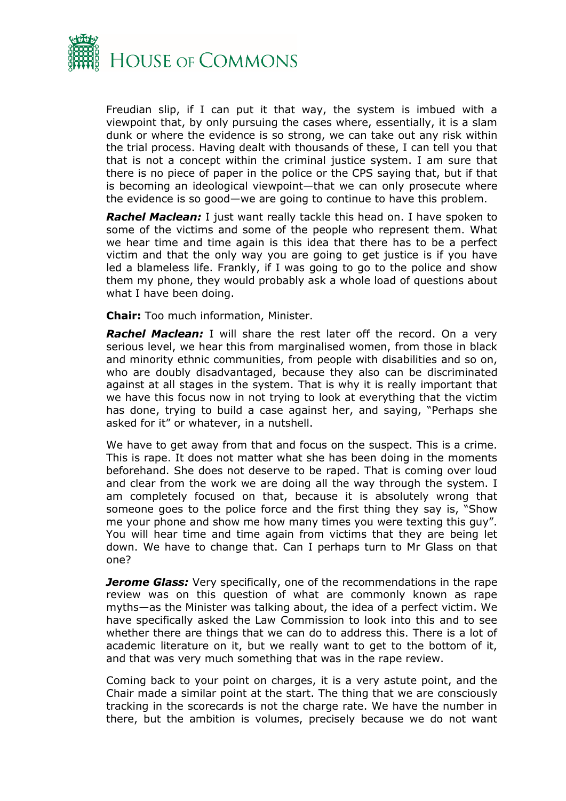

Freudian slip, if I can put it that way, the system is imbued with a viewpoint that, by only pursuing the cases where, essentially, it is a slam dunk or where the evidence is so strong, we can take out any risk within the trial process. Having dealt with thousands of these, I can tell you that that is not a concept within the criminal justice system. I am sure that there is no piece of paper in the police or the CPS saying that, but if that is becoming an ideological viewpoint—that we can only prosecute where the evidence is so good—we are going to continue to have this problem.

*Rachel Maclean:* I just want really tackle this head on. I have spoken to some of the victims and some of the people who represent them. What we hear time and time again is this idea that there has to be a perfect victim and that the only way you are going to get justice is if you have led a blameless life. Frankly, if I was going to go to the police and show them my phone, they would probably ask a whole load of questions about what I have been doing.

**Chair:** Too much information, Minister.

**Rachel Maclean:** I will share the rest later off the record. On a very serious level, we hear this from marginalised women, from those in black and minority ethnic communities, from people with disabilities and so on, who are doubly disadvantaged, because they also can be discriminated against at all stages in the system. That is why it is really important that we have this focus now in not trying to look at everything that the victim has done, trying to build a case against her, and saying, "Perhaps she asked for it" or whatever, in a nutshell.

We have to get away from that and focus on the suspect. This is a crime. This is rape. It does not matter what she has been doing in the moments beforehand. She does not deserve to be raped. That is coming over loud and clear from the work we are doing all the way through the system. I am completely focused on that, because it is absolutely wrong that someone goes to the police force and the first thing they say is, "Show me your phone and show me how many times you were texting this guy". You will hear time and time again from victims that they are being let down. We have to change that. Can I perhaps turn to Mr Glass on that one?

*Jerome Glass:* Very specifically, one of the recommendations in the rape review was on this question of what are commonly known as rape myths—as the Minister was talking about, the idea of a perfect victim. We have specifically asked the Law Commission to look into this and to see whether there are things that we can do to address this. There is a lot of academic literature on it, but we really want to get to the bottom of it, and that was very much something that was in the rape review.

Coming back to your point on charges, it is a very astute point, and the Chair made a similar point at the start. The thing that we are consciously tracking in the scorecards is not the charge rate. We have the number in there, but the ambition is volumes, precisely because we do not want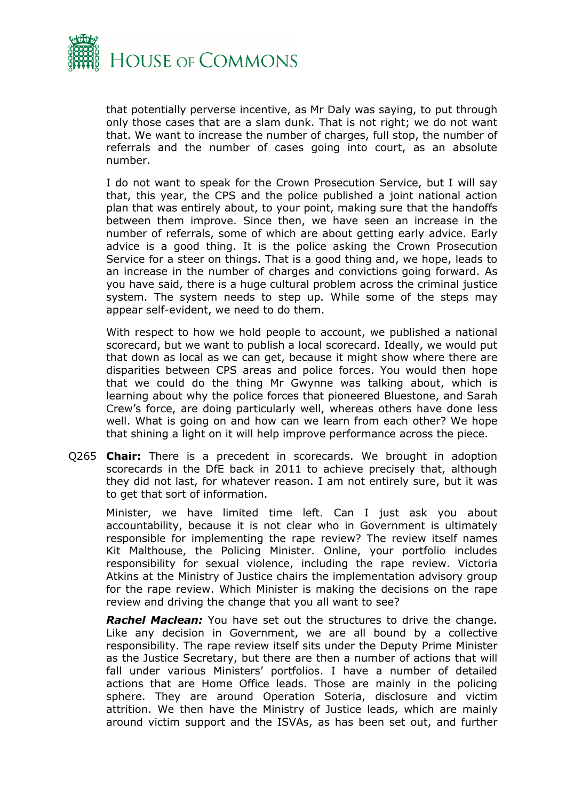

that potentially perverse incentive, as Mr Daly was saying, to put through only those cases that are a slam dunk. That is not right; we do not want that. We want to increase the number of charges, full stop, the number of referrals and the number of cases going into court, as an absolute number.

I do not want to speak for the Crown Prosecution Service, but I will say that, this year, the CPS and the police published a joint national action plan that was entirely about, to your point, making sure that the handoffs between them improve. Since then, we have seen an increase in the number of referrals, some of which are about getting early advice. Early advice is a good thing. It is the police asking the Crown Prosecution Service for a steer on things. That is a good thing and, we hope, leads to an increase in the number of charges and convictions going forward. As you have said, there is a huge cultural problem across the criminal justice system. The system needs to step up. While some of the steps may appear self-evident, we need to do them.

With respect to how we hold people to account, we published a national scorecard, but we want to publish a local scorecard. Ideally, we would put that down as local as we can get, because it might show where there are disparities between CPS areas and police forces. You would then hope that we could do the thing Mr Gwynne was talking about, which is learning about why the police forces that pioneered Bluestone, and Sarah Crew's force, are doing particularly well, whereas others have done less well. What is going on and how can we learn from each other? We hope that shining a light on it will help improve performance across the piece.

Q265 **Chair:** There is a precedent in scorecards. We brought in adoption scorecards in the DfE back in 2011 to achieve precisely that, although they did not last, for whatever reason. I am not entirely sure, but it was to get that sort of information.

Minister, we have limited time left. Can I just ask you about accountability, because it is not clear who in Government is ultimately responsible for implementing the rape review? The review itself names Kit Malthouse, the Policing Minister. Online, your portfolio includes responsibility for sexual violence, including the rape review. Victoria Atkins at the Ministry of Justice chairs the implementation advisory group for the rape review. Which Minister is making the decisions on the rape review and driving the change that you all want to see?

*Rachel Maclean:* You have set out the structures to drive the change. Like any decision in Government, we are all bound by a collective responsibility. The rape review itself sits under the Deputy Prime Minister as the Justice Secretary, but there are then a number of actions that will fall under various Ministers' portfolios. I have a number of detailed actions that are Home Office leads. Those are mainly in the policing sphere. They are around Operation Soteria, disclosure and victim attrition. We then have the Ministry of Justice leads, which are mainly around victim support and the ISVAs, as has been set out, and further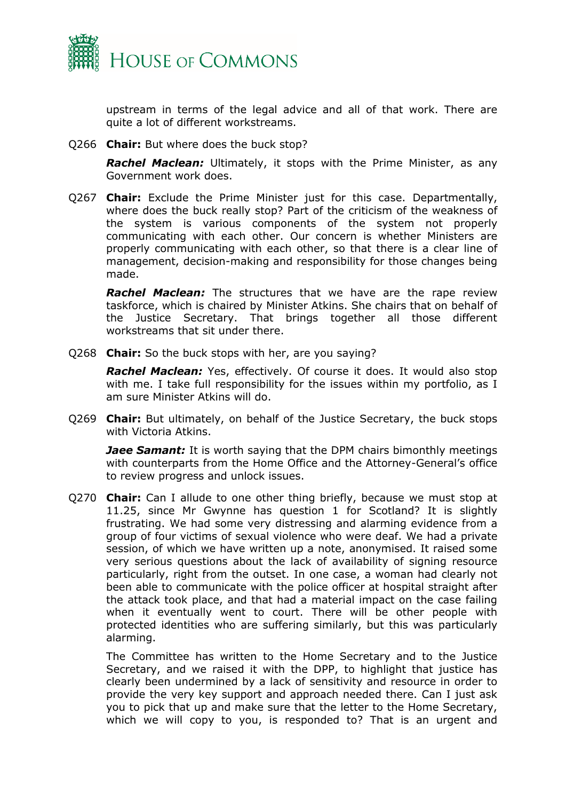

upstream in terms of the legal advice and all of that work. There are quite a lot of different workstreams.

Q266 **Chair:** But where does the buck stop?

*Rachel Maclean:* Ultimately, it stops with the Prime Minister, as any Government work does.

Q267 **Chair:** Exclude the Prime Minister just for this case. Departmentally, where does the buck really stop? Part of the criticism of the weakness of the system is various components of the system not properly communicating with each other. Our concern is whether Ministers are properly communicating with each other, so that there is a clear line of management, decision-making and responsibility for those changes being made.

*Rachel Maclean:* The structures that we have are the rape review taskforce, which is chaired by Minister Atkins. She chairs that on behalf of the Justice Secretary. That brings together all those different workstreams that sit under there.

Q268 **Chair:** So the buck stops with her, are you saying?

*Rachel Maclean:* Yes, effectively. Of course it does. It would also stop with me. I take full responsibility for the issues within my portfolio, as I am sure Minister Atkins will do.

Q269 **Chair:** But ultimately, on behalf of the Justice Secretary, the buck stops with Victoria Atkins.

*Jaee Samant:* It is worth saying that the DPM chairs bimonthly meetings with counterparts from the Home Office and the Attorney-General's office to review progress and unlock issues.

Q270 **Chair:** Can I allude to one other thing briefly, because we must stop at 11.25, since Mr Gwynne has question 1 for Scotland? It is slightly frustrating. We had some very distressing and alarming evidence from a group of four victims of sexual violence who were deaf. We had a private session, of which we have written up a note, anonymised. It raised some very serious questions about the lack of availability of signing resource particularly, right from the outset. In one case, a woman had clearly not been able to communicate with the police officer at hospital straight after the attack took place, and that had a material impact on the case failing when it eventually went to court. There will be other people with protected identities who are suffering similarly, but this was particularly alarming.

The Committee has written to the Home Secretary and to the Justice Secretary, and we raised it with the DPP, to highlight that justice has clearly been undermined by a lack of sensitivity and resource in order to provide the very key support and approach needed there. Can I just ask you to pick that up and make sure that the letter to the Home Secretary, which we will copy to you, is responded to? That is an urgent and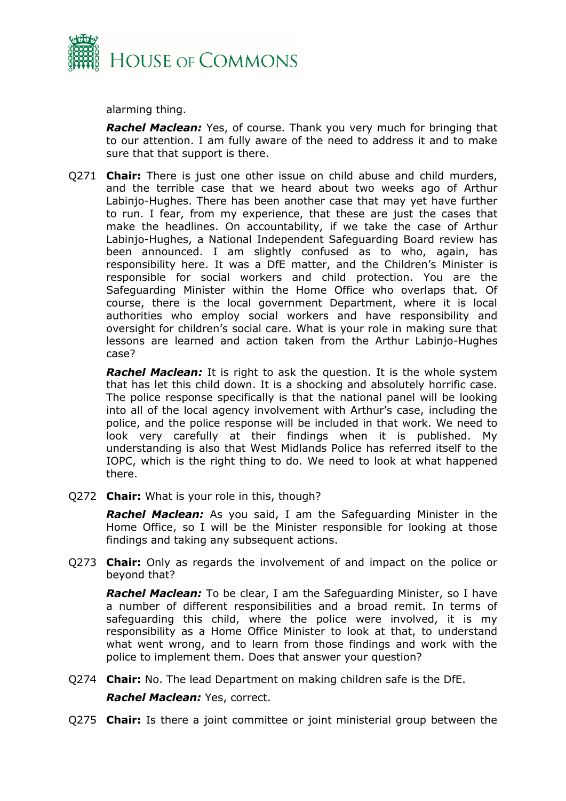

alarming thing.

*Rachel Maclean:* Yes, of course. Thank you very much for bringing that to our attention. I am fully aware of the need to address it and to make sure that that support is there.

Q271 **Chair:** There is just one other issue on child abuse and child murders, and the terrible case that we heard about two weeks ago of Arthur Labinjo-Hughes. There has been another case that may yet have further to run. I fear, from my experience, that these are just the cases that make the headlines. On accountability, if we take the case of Arthur Labinjo-Hughes, a National Independent Safeguarding Board review has been announced. I am slightly confused as to who, again, has responsibility here. It was a DfE matter, and the Children's Minister is responsible for social workers and child protection. You are the Safeguarding Minister within the Home Office who overlaps that. Of course, there is the local government Department, where it is local authorities who employ social workers and have responsibility and oversight for children's social care. What is your role in making sure that lessons are learned and action taken from the Arthur Labinjo-Hughes case?

*Rachel Maclean:* It is right to ask the question. It is the whole system that has let this child down. It is a shocking and absolutely horrific case. The police response specifically is that the national panel will be looking into all of the local agency involvement with Arthur's case, including the police, and the police response will be included in that work. We need to look very carefully at their findings when it is published. My understanding is also that West Midlands Police has referred itself to the IOPC, which is the right thing to do. We need to look at what happened there.

Q272 **Chair:** What is your role in this, though?

*Rachel Maclean:* As you said, I am the Safeguarding Minister in the Home Office, so I will be the Minister responsible for looking at those findings and taking any subsequent actions.

Q273 **Chair:** Only as regards the involvement of and impact on the police or beyond that?

*Rachel Maclean:* To be clear, I am the Safeguarding Minister, so I have a number of different responsibilities and a broad remit. In terms of safeguarding this child, where the police were involved, it is my responsibility as a Home Office Minister to look at that, to understand what went wrong, and to learn from those findings and work with the police to implement them. Does that answer your question?

Q274 **Chair:** No. The lead Department on making children safe is the DfE.

#### *Rachel Maclean:* Yes, correct.

Q275 **Chair:** Is there a joint committee or joint ministerial group between the